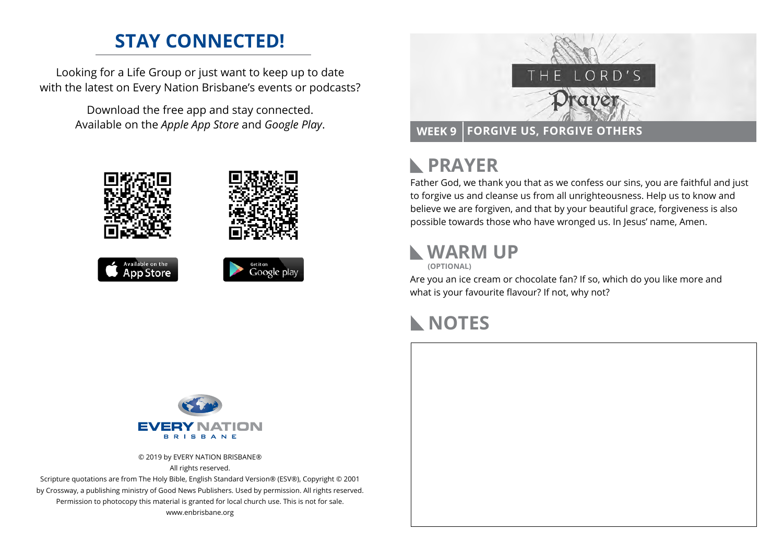## **STAY CONNECTED!**

Looking for a Life Group or just want to keep up to date with the latest on Every Nation Brisbane's events or podcasts?

> Download the free app and stay connected. Available on the *Apple App Store* and *Google Play*.





### **PRAYER**  $\mathbb{R}$

Father God, we thank you that as we confess our sins, you are faithful and just to forgive us and cleanse us from all unrighteousness. Help us to know and believe we are forgiven, and that by your beautiful grace, forgiveness is also possible towards those who have wronged us. In Jesus' name, Amen.

### **WARM UP**

**(OPTIONAL)**

Are you an ice cream or chocolate fan? If so, which do you like more and what is your favourite flavour? If not, why not?

# **NOTES**



© 2019 by EVERY NATION BRISBANE® All rights reserved.

Scripture quotations are from The Holy Bible, English Standard Version® (ESV®), Copyright © 2001 by Crossway, a publishing ministry of Good News Publishers. Used by permission. All rights reserved. Permission to photocopy this material is granted for local church use. This is not for sale. www.enbrisbane.org